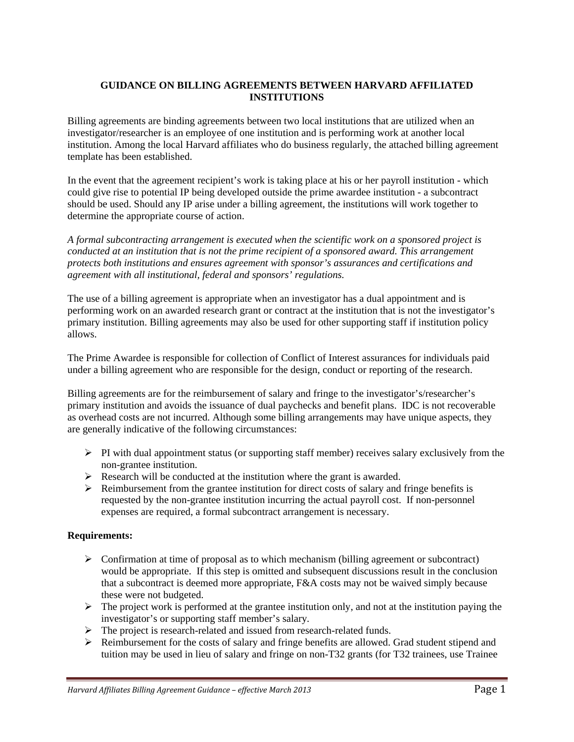# **GUIDANCE ON BILLING AGREEMENTS BETWEEN HARVARD AFFILIATED INSTITUTIONS**

Billing agreements are binding agreements between two local institutions that are utilized when an investigator/researcher is an employee of one institution and is performing work at another local institution. Among the local Harvard affiliates who do business regularly, the attached billing agreement template has been established.

In the event that the agreement recipient's work is taking place at his or her payroll institution - which could give rise to potential IP being developed outside the prime awardee institution - a subcontract should be used. Should any IP arise under a billing agreement, the institutions will work together to determine the appropriate course of action.

*A formal subcontracting arrangement is executed when the scientific work on a sponsored project is conducted at an institution that is not the prime recipient of a sponsored award. This arrangement protects both institutions and ensures agreement with sponsor's assurances and certifications and agreement with all institutional, federal and sponsors' regulations.* 

The use of a billing agreement is appropriate when an investigator has a dual appointment and is performing work on an awarded research grant or contract at the institution that is not the investigator's primary institution. Billing agreements may also be used for other supporting staff if institution policy allows.

The Prime Awardee is responsible for collection of Conflict of Interest assurances for individuals paid under a billing agreement who are responsible for the design, conduct or reporting of the research.

Billing agreements are for the reimbursement of salary and fringe to the investigator's/researcher's primary institution and avoids the issuance of dual paychecks and benefit plans. IDC is not recoverable as overhead costs are not incurred. Although some billing arrangements may have unique aspects, they are generally indicative of the following circumstances:

- $\triangleright$  PI with dual appointment status (or supporting staff member) receives salary exclusively from the non-grantee institution.
- $\triangleright$  Research will be conducted at the institution where the grant is awarded.
- $\triangleright$  Reimbursement from the grantee institution for direct costs of salary and fringe benefits is requested by the non-grantee institution incurring the actual payroll cost. If non-personnel expenses are required, a formal subcontract arrangement is necessary.

# **Requirements:**

- $\triangleright$  Confirmation at time of proposal as to which mechanism (billing agreement or subcontract) would be appropriate. If this step is omitted and subsequent discussions result in the conclusion that a subcontract is deemed more appropriate, F&A costs may not be waived simply because these were not budgeted.
- $\triangleright$  The project work is performed at the grantee institution only, and not at the institution paying the investigator's or supporting staff member's salary*.*
- $\triangleright$  The project is research-related and issued from research-related funds.
- $\triangleright$  Reimbursement for the costs of salary and fringe benefits are allowed. Grad student stipend and tuition may be used in lieu of salary and fringe on non-T32 grants (for T32 trainees, use Trainee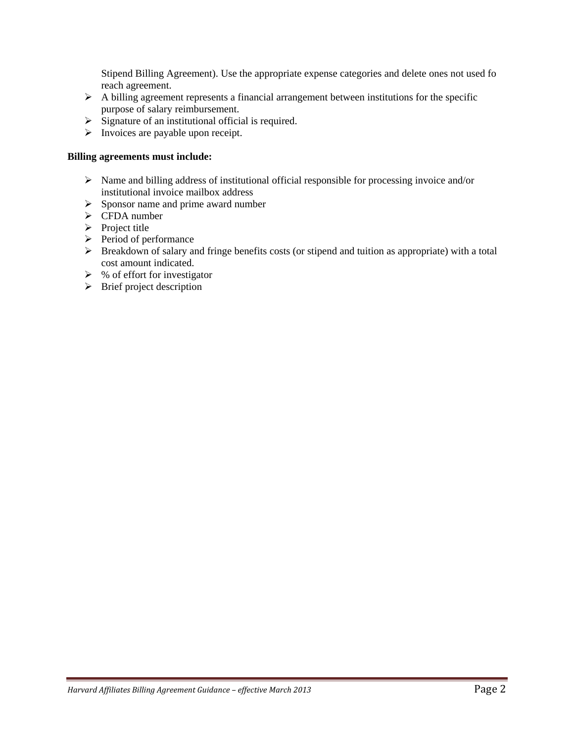Stipend Billing Agreement). Use the appropriate expense categories and delete ones not used fo reach agreement.

- $\triangleright$  A billing agreement represents a financial arrangement between institutions for the specific purpose of salary reimbursement.
- $\triangleright$  Signature of an institutional official is required.
- $\triangleright$  Invoices are payable upon receipt.

### **Billing agreements must include:**

- $\triangleright$  Name and billing address of institutional official responsible for processing invoice and/or institutional invoice mailbox address
- $\triangleright$  Sponsor name and prime award number
- $\triangleright$  CFDA number
- $\triangleright$  Project title
- $\triangleright$  Period of performance
- $\triangleright$  Breakdown of salary and fringe benefits costs (or stipend and tuition as appropriate) with a total cost amount indicated.
- $\triangleright$  % of effort for investigator
- $\triangleright$  Brief project description